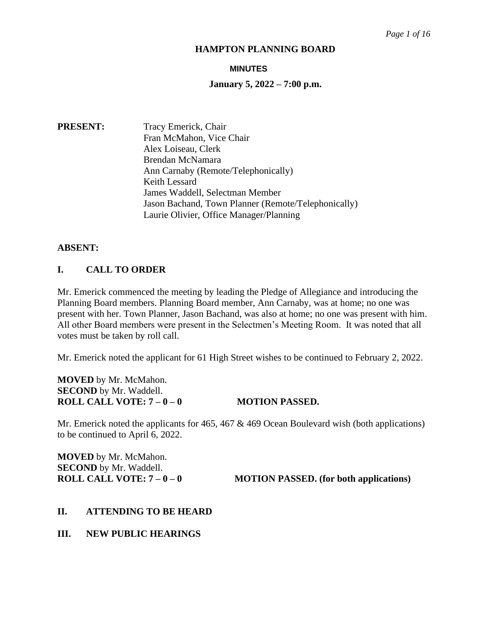#### **MINUTES**

#### **January 5, 2022 – 7:00 p.m.**

**PRESENT:** Tracy Emerick, Chair Fran McMahon, Vice Chair Alex Loiseau, Clerk Brendan McNamara Ann Carnaby (Remote/Telephonically) Keith Lessard James Waddell, Selectman Member Jason Bachand, Town Planner (Remote/Telephonically) Laurie Olivier, Office Manager/Planning

#### **ABSENT:**

# **I. CALL TO ORDER**

Mr. Emerick commenced the meeting by leading the Pledge of Allegiance and introducing the Planning Board members. Planning Board member, Ann Carnaby, was at home; no one was present with her. Town Planner, Jason Bachand, was also at home; no one was present with him. All other Board members were present in the Selectmen's Meeting Room. It was noted that all votes must be taken by roll call.

Mr. Emerick noted the applicant for 61 High Street wishes to be continued to February 2, 2022.

**MOVED** by Mr. McMahon. **SECOND** by Mr. Waddell. **ROLL CALL VOTE:**  $7-0-0$  **MOTION PASSED.** 

Mr. Emerick noted the applicants for 465, 467 & 469 Ocean Boulevard wish (both applications) to be continued to April 6, 2022.

**MOVED** by Mr. McMahon. **SECOND** by Mr. Waddell.

**ROLL CALL VOTE:**  $7 - 0 - 0$  **MOTION PASSED.** (for both applications)

#### **II. ATTENDING TO BE HEARD**

**III. NEW PUBLIC HEARINGS**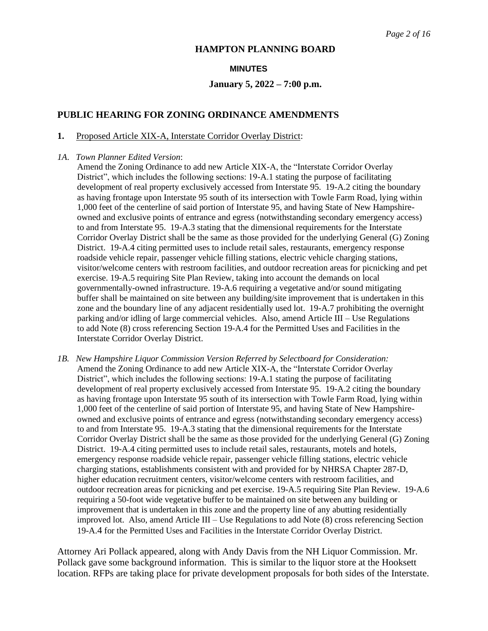#### **MINUTES**

# **January 5, 2022 – 7:00 p.m.**

# **PUBLIC HEARING FOR ZONING ORDINANCE AMENDMENTS**

#### **1.** Proposed Article XIX-A, Interstate Corridor Overlay District:

#### *1A*. *Town Planner Edited Version*:

 Amend the Zoning Ordinance to add new Article XIX-A, the "Interstate Corridor Overlay District", which includes the following sections: 19-A.1 stating the purpose of facilitating development of real property exclusively accessed from Interstate 95. 19-A.2 citing the boundary as having frontage upon Interstate 95 south of its intersection with Towle Farm Road, lying within 1,000 feet of the centerline of said portion of Interstate 95, and having State of New Hampshire owned and exclusive points of entrance and egress (notwithstanding secondary emergency access) to and from Interstate 95. 19-A.3 stating that the dimensional requirements for the Interstate Corridor Overlay District shall be the same as those provided for the underlying General (G) Zoning District. 19-A.4 citing permitted uses to include retail sales, restaurants, emergency response roadside vehicle repair, passenger vehicle filling stations, electric vehicle charging stations, visitor/welcome centers with restroom facilities, and outdoor recreation areas for picnicking and pet exercise. 19-A.5 requiring Site Plan Review, taking into account the demands on local governmentally-owned infrastructure. 19-A.6 requiring a vegetative and/or sound mitigating buffer shall be maintained on site between any building/site improvement that is undertaken in this zone and the boundary line of any adjacent residentially used lot. 19-A.7 prohibiting the overnight parking and/or idling of large commercial vehicles. Also, amend Article III – Use Regulations to add Note (8) cross referencing Section 19-A.4 for the Permitted Uses and Facilities in the Interstate Corridor Overlay District.

*1B. New Hampshire Liquor Commission Version Referred by Selectboard for Consideration:* Amend the Zoning Ordinance to add new Article XIX-A, the "Interstate Corridor Overlay District", which includes the following sections: 19-A.1 stating the purpose of facilitating development of real property exclusively accessed from Interstate 95. 19-A.2 citing the boundary as having frontage upon Interstate 95 south of its intersection with Towle Farm Road, lying within 1,000 feet of the centerline of said portion of Interstate 95, and having State of New Hampshire owned and exclusive points of entrance and egress (notwithstanding secondary emergency access) to and from Interstate 95. 19-A.3 stating that the dimensional requirements for the Interstate Corridor Overlay District shall be the same as those provided for the underlying General (G) Zoning District. 19-A.4 citing permitted uses to include retail sales, restaurants, motels and hotels, emergency response roadside vehicle repair, passenger vehicle filling stations, electric vehicle charging stations, establishments consistent with and provided for by NHRSA Chapter 287-D, higher education recruitment centers, visitor/welcome centers with restroom facilities, and outdoor recreation areas for picnicking and pet exercise. 19-A.5 requiring Site Plan Review. 19-A.6 requiring a 50-foot wide vegetative buffer to be maintained on site between any building or improvement that is undertaken in this zone and the property line of any abutting residentially improved lot. Also, amend Article III – Use Regulations to add Note (8) cross referencing Section 19-A.4 for the Permitted Uses and Facilities in the Interstate Corridor Overlay District.

Attorney Ari Pollack appeared, along with Andy Davis from the NH Liquor Commission. Mr. Pollack gave some background information. This is similar to the liquor store at the Hooksett location. RFPs are taking place for private development proposals for both sides of the Interstate.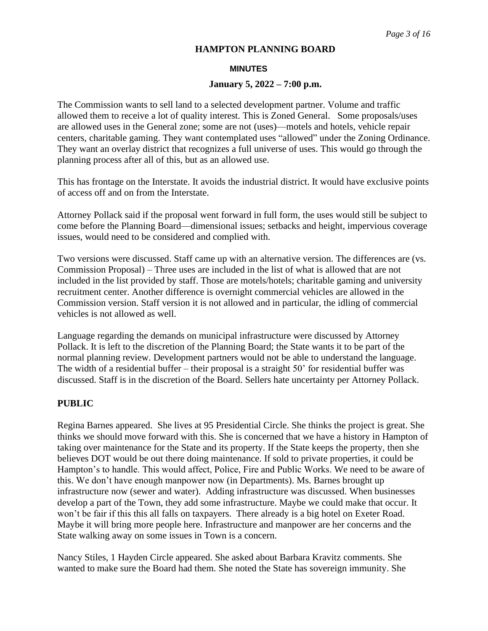#### **MINUTES**

#### **January 5, 2022 – 7:00 p.m.**

The Commission wants to sell land to a selected development partner. Volume and traffic allowed them to receive a lot of quality interest. This is Zoned General. Some proposals/uses are allowed uses in the General zone; some are not (uses)—motels and hotels, vehicle repair centers, charitable gaming. They want contemplated uses "allowed" under the Zoning Ordinance. They want an overlay district that recognizes a full universe of uses. This would go through the planning process after all of this, but as an allowed use.

This has frontage on the Interstate. It avoids the industrial district. It would have exclusive points of access off and on from the Interstate.

Attorney Pollack said if the proposal went forward in full form, the uses would still be subject to come before the Planning Board—dimensional issues; setbacks and height, impervious coverage issues, would need to be considered and complied with.

Two versions were discussed. Staff came up with an alternative version. The differences are (vs. Commission Proposal) – Three uses are included in the list of what is allowed that are not included in the list provided by staff. Those are motels/hotels; charitable gaming and university recruitment center. Another difference is overnight commercial vehicles are allowed in the Commission version. Staff version it is not allowed and in particular, the idling of commercial vehicles is not allowed as well.

Language regarding the demands on municipal infrastructure were discussed by Attorney Pollack. It is left to the discretion of the Planning Board; the State wants it to be part of the normal planning review. Development partners would not be able to understand the language. The width of a residential buffer – their proposal is a straight 50' for residential buffer was discussed. Staff is in the discretion of the Board. Sellers hate uncertainty per Attorney Pollack.

## **PUBLIC**

Regina Barnes appeared. She lives at 95 Presidential Circle. She thinks the project is great. She thinks we should move forward with this. She is concerned that we have a history in Hampton of taking over maintenance for the State and its property. If the State keeps the property, then she believes DOT would be out there doing maintenance. If sold to private properties, it could be Hampton's to handle. This would affect, Police, Fire and Public Works. We need to be aware of this. We don't have enough manpower now (in Departments). Ms. Barnes brought up infrastructure now (sewer and water). Adding infrastructure was discussed. When businesses develop a part of the Town, they add some infrastructure. Maybe we could make that occur. It won't be fair if this this all falls on taxpayers. There already is a big hotel on Exeter Road. Maybe it will bring more people here. Infrastructure and manpower are her concerns and the State walking away on some issues in Town is a concern.

Nancy Stiles, 1 Hayden Circle appeared. She asked about Barbara Kravitz comments. She wanted to make sure the Board had them. She noted the State has sovereign immunity. She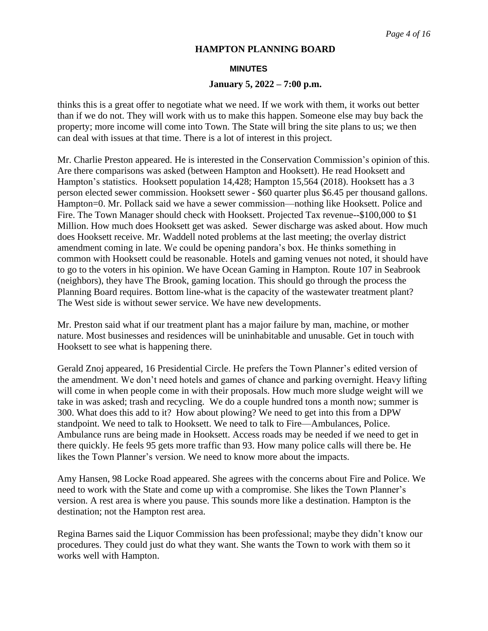#### **MINUTES**

#### **January 5, 2022 – 7:00 p.m.**

thinks this is a great offer to negotiate what we need. If we work with them, it works out better than if we do not. They will work with us to make this happen. Someone else may buy back the property; more income will come into Town. The State will bring the site plans to us; we then can deal with issues at that time. There is a lot of interest in this project.

Mr. Charlie Preston appeared. He is interested in the Conservation Commission's opinion of this. Are there comparisons was asked (between Hampton and Hooksett). He read Hooksett and Hampton's statistics. Hooksett population 14,428; Hampton 15,564 (2018). Hooksett has a 3 person elected sewer commission. Hooksett sewer - \$60 quarter plus \$6.45 per thousand gallons. Hampton=0. Mr. Pollack said we have a sewer commission—nothing like Hooksett. Police and Fire. The Town Manager should check with Hooksett. Projected Tax revenue--\$100,000 to \$1 Million. How much does Hooksett get was asked. Sewer discharge was asked about. How much does Hooksett receive. Mr. Waddell noted problems at the last meeting; the overlay district amendment coming in late. We could be opening pandora's box. He thinks something in common with Hooksett could be reasonable. Hotels and gaming venues not noted, it should have to go to the voters in his opinion. We have Ocean Gaming in Hampton. Route 107 in Seabrook (neighbors), they have The Brook, gaming location. This should go through the process the Planning Board requires. Bottom line-what is the capacity of the wastewater treatment plant? The West side is without sewer service. We have new developments.

Mr. Preston said what if our treatment plant has a major failure by man, machine, or mother nature. Most businesses and residences will be uninhabitable and unusable. Get in touch with Hooksett to see what is happening there.

Gerald Znoj appeared, 16 Presidential Circle. He prefers the Town Planner's edited version of the amendment. We don't need hotels and games of chance and parking overnight. Heavy lifting will come in when people come in with their proposals. How much more sludge weight will we take in was asked; trash and recycling. We do a couple hundred tons a month now; summer is 300. What does this add to it? How about plowing? We need to get into this from a DPW standpoint. We need to talk to Hooksett. We need to talk to Fire—Ambulances, Police. Ambulance runs are being made in Hooksett. Access roads may be needed if we need to get in there quickly. He feels 95 gets more traffic than 93. How many police calls will there be. He likes the Town Planner's version. We need to know more about the impacts.

Amy Hansen, 98 Locke Road appeared. She agrees with the concerns about Fire and Police. We need to work with the State and come up with a compromise. She likes the Town Planner's version. A rest area is where you pause. This sounds more like a destination. Hampton is the destination; not the Hampton rest area.

Regina Barnes said the Liquor Commission has been professional; maybe they didn't know our procedures. They could just do what they want. She wants the Town to work with them so it works well with Hampton.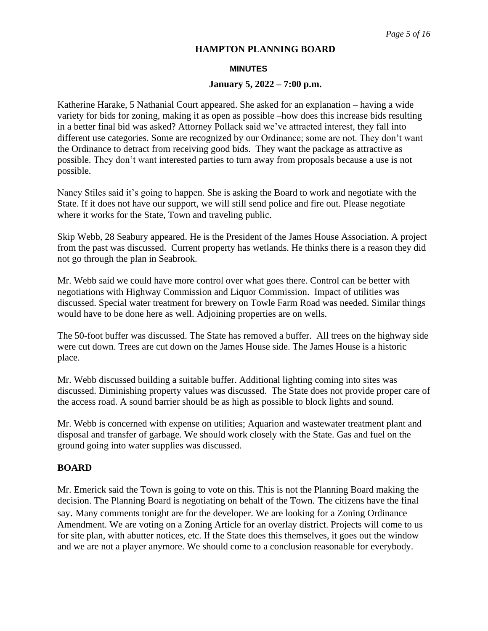#### **MINUTES**

#### **January 5, 2022 – 7:00 p.m.**

Katherine Harake, 5 Nathanial Court appeared. She asked for an explanation – having a wide variety for bids for zoning, making it as open as possible –how does this increase bids resulting in a better final bid was asked? Attorney Pollack said we've attracted interest, they fall into different use categories. Some are recognized by our Ordinance; some are not. They don't want the Ordinance to detract from receiving good bids. They want the package as attractive as possible. They don't want interested parties to turn away from proposals because a use is not possible.

Nancy Stiles said it's going to happen. She is asking the Board to work and negotiate with the State. If it does not have our support, we will still send police and fire out. Please negotiate where it works for the State, Town and traveling public.

Skip Webb, 28 Seabury appeared. He is the President of the James House Association. A project from the past was discussed. Current property has wetlands. He thinks there is a reason they did not go through the plan in Seabrook.

Mr. Webb said we could have more control over what goes there. Control can be better with negotiations with Highway Commission and Liquor Commission. Impact of utilities was discussed. Special water treatment for brewery on Towle Farm Road was needed. Similar things would have to be done here as well. Adjoining properties are on wells.

The 50-foot buffer was discussed. The State has removed a buffer. All trees on the highway side were cut down. Trees are cut down on the James House side. The James House is a historic place.

Mr. Webb discussed building a suitable buffer. Additional lighting coming into sites was discussed. Diminishing property values was discussed. The State does not provide proper care of the access road. A sound barrier should be as high as possible to block lights and sound.

Mr. Webb is concerned with expense on utilities; Aquarion and wastewater treatment plant and disposal and transfer of garbage. We should work closely with the State. Gas and fuel on the ground going into water supplies was discussed.

## **BOARD**

Mr. Emerick said the Town is going to vote on this. This is not the Planning Board making the decision. The Planning Board is negotiating on behalf of the Town. The citizens have the final say. Many comments tonight are for the developer. We are looking for a Zoning Ordinance Amendment. We are voting on a Zoning Article for an overlay district. Projects will come to us for site plan, with abutter notices, etc. If the State does this themselves, it goes out the window and we are not a player anymore. We should come to a conclusion reasonable for everybody.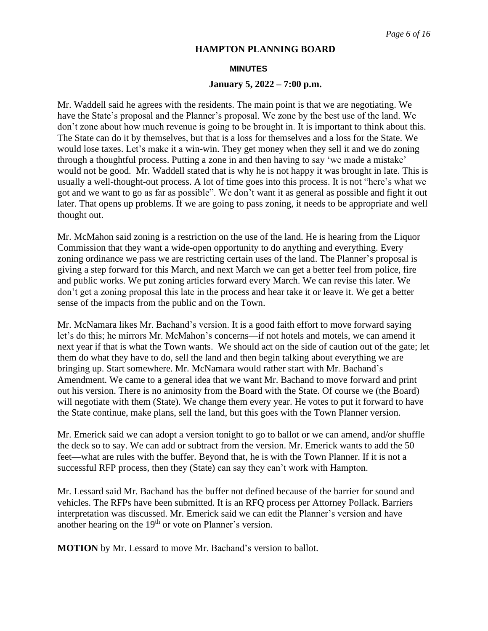#### **MINUTES**

## **January 5, 2022 – 7:00 p.m.**

Mr. Waddell said he agrees with the residents. The main point is that we are negotiating. We have the State's proposal and the Planner's proposal. We zone by the best use of the land. We don't zone about how much revenue is going to be brought in. It is important to think about this. The State can do it by themselves, but that is a loss for themselves and a loss for the State. We would lose taxes. Let's make it a win-win. They get money when they sell it and we do zoning through a thoughtful process. Putting a zone in and then having to say 'we made a mistake' would not be good. Mr. Waddell stated that is why he is not happy it was brought in late. This is usually a well-thought-out process. A lot of time goes into this process. It is not "here's what we got and we want to go as far as possible". We don't want it as general as possible and fight it out later. That opens up problems. If we are going to pass zoning, it needs to be appropriate and well thought out.

Mr. McMahon said zoning is a restriction on the use of the land. He is hearing from the Liquor Commission that they want a wide-open opportunity to do anything and everything. Every zoning ordinance we pass we are restricting certain uses of the land. The Planner's proposal is giving a step forward for this March, and next March we can get a better feel from police, fire and public works. We put zoning articles forward every March. We can revise this later. We don't get a zoning proposal this late in the process and hear take it or leave it. We get a better sense of the impacts from the public and on the Town.

Mr. McNamara likes Mr. Bachand's version. It is a good faith effort to move forward saying let's do this; he mirrors Mr. McMahon's concerns—if not hotels and motels, we can amend it next year if that is what the Town wants. We should act on the side of caution out of the gate; let them do what they have to do, sell the land and then begin talking about everything we are bringing up. Start somewhere. Mr. McNamara would rather start with Mr. Bachand's Amendment. We came to a general idea that we want Mr. Bachand to move forward and print out his version. There is no animosity from the Board with the State. Of course we (the Board) will negotiate with them (State). We change them every year. He votes to put it forward to have the State continue, make plans, sell the land, but this goes with the Town Planner version.

Mr. Emerick said we can adopt a version tonight to go to ballot or we can amend, and/or shuffle the deck so to say. We can add or subtract from the version. Mr. Emerick wants to add the 50 feet—what are rules with the buffer. Beyond that, he is with the Town Planner. If it is not a successful RFP process, then they (State) can say they can't work with Hampton.

Mr. Lessard said Mr. Bachand has the buffer not defined because of the barrier for sound and vehicles. The RFPs have been submitted. It is an RFQ process per Attorney Pollack. Barriers interpretation was discussed. Mr. Emerick said we can edit the Planner's version and have another hearing on the 19<sup>th</sup> or vote on Planner's version.

**MOTION** by Mr. Lessard to move Mr. Bachand's version to ballot.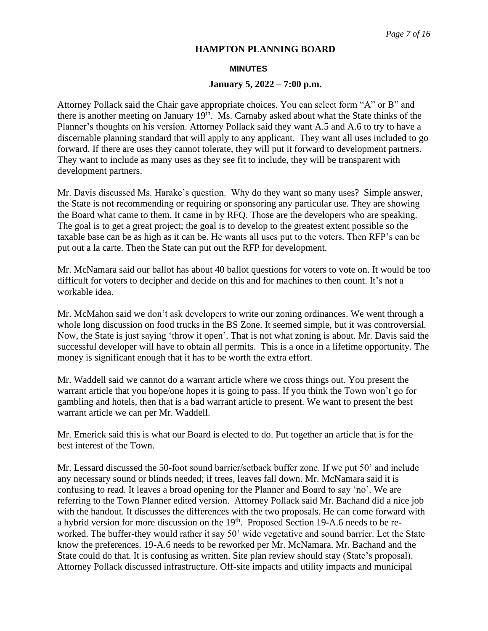#### **MINUTES**

#### **January 5, 2022 – 7:00 p.m.**

Attorney Pollack said the Chair gave appropriate choices. You can select form "A" or B" and there is another meeting on January 19<sup>th</sup>. Ms. Carnaby asked about what the State thinks of the Planner's thoughts on his version. Attorney Pollack said they want A.5 and A.6 to try to have a discernable planning standard that will apply to any applicant. They want all uses included to go forward. If there are uses they cannot tolerate, they will put it forward to development partners. They want to include as many uses as they see fit to include, they will be transparent with development partners.

Mr. Davis discussed Ms. Harake's question. Why do they want so many uses? Simple answer, the State is not recommending or requiring or sponsoring any particular use. They are showing the Board what came to them. It came in by RFQ. Those are the developers who are speaking. The goal is to get a great project; the goal is to develop to the greatest extent possible so the taxable base can be as high as it can be. He wants all uses put to the voters. Then RFP's can be put out a la carte. Then the State can put out the RFP for development.

Mr. McNamara said our ballot has about 40 ballot questions for voters to vote on. It would be too difficult for voters to decipher and decide on this and for machines to then count. It's not a workable idea.

Mr. McMahon said we don't ask developers to write our zoning ordinances. We went through a whole long discussion on food trucks in the BS Zone. It seemed simple, but it was controversial. Now, the State is just saying 'throw it open'. That is not what zoning is about. Mr. Davis said the successful developer will have to obtain all permits. This is a once in a lifetime opportunity. The money is significant enough that it has to be worth the extra effort.

Mr. Waddell said we cannot do a warrant article where we cross things out. You present the warrant article that you hope/one hopes it is going to pass. If you think the Town won't go for gambling and hotels, then that is a bad warrant article to present. We want to present the best warrant article we can per Mr. Waddell.

Mr. Emerick said this is what our Board is elected to do. Put together an article that is for the best interest of the Town.

Mr. Lessard discussed the 50-foot sound barrier/setback buffer zone. If we put 50' and include any necessary sound or blinds needed; if trees, leaves fall down. Mr. McNamara said it is confusing to read. It leaves a broad opening for the Planner and Board to say 'no'. We are referring to the Town Planner edited version. Attorney Pollack said Mr. Bachand did a nice job with the handout. It discusses the differences with the two proposals. He can come forward with a hybrid version for more discussion on the 19<sup>th</sup>. Proposed Section 19-A.6 needs to be reworked. The buffer-they would rather it say 50' wide vegetative and sound barrier. Let the State know the preferences. 19-A.6 needs to be reworked per Mr. McNamara. Mr. Bachand and the State could do that. It is confusing as written. Site plan review should stay (State's proposal). Attorney Pollack discussed infrastructure. Off-site impacts and utility impacts and municipal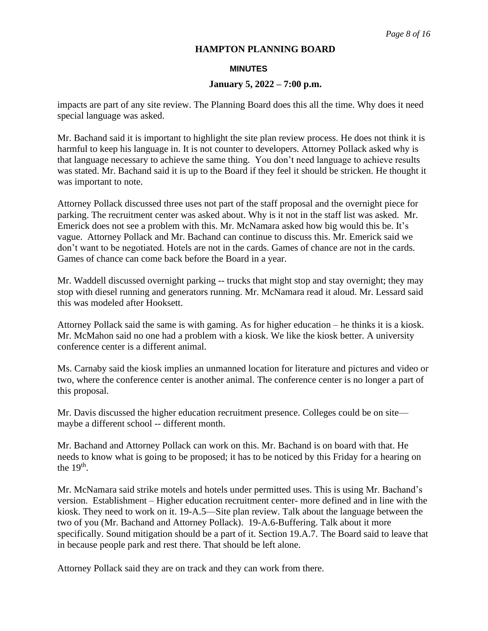#### **MINUTES**

## **January 5, 2022 – 7:00 p.m.**

impacts are part of any site review. The Planning Board does this all the time. Why does it need special language was asked.

Mr. Bachand said it is important to highlight the site plan review process. He does not think it is harmful to keep his language in. It is not counter to developers. Attorney Pollack asked why is that language necessary to achieve the same thing. You don't need language to achieve results was stated. Mr. Bachand said it is up to the Board if they feel it should be stricken. He thought it was important to note.

Attorney Pollack discussed three uses not part of the staff proposal and the overnight piece for parking. The recruitment center was asked about. Why is it not in the staff list was asked. Mr. Emerick does not see a problem with this. Mr. McNamara asked how big would this be. It's vague. Attorney Pollack and Mr. Bachand can continue to discuss this. Mr. Emerick said we don't want to be negotiated. Hotels are not in the cards. Games of chance are not in the cards. Games of chance can come back before the Board in a year.

Mr. Waddell discussed overnight parking -- trucks that might stop and stay overnight; they may stop with diesel running and generators running. Mr. McNamara read it aloud. Mr. Lessard said this was modeled after Hooksett.

Attorney Pollack said the same is with gaming. As for higher education – he thinks it is a kiosk. Mr. McMahon said no one had a problem with a kiosk. We like the kiosk better. A university conference center is a different animal.

Ms. Carnaby said the kiosk implies an unmanned location for literature and pictures and video or two, where the conference center is another animal. The conference center is no longer a part of this proposal.

Mr. Davis discussed the higher education recruitment presence. Colleges could be on site maybe a different school -- different month.

Mr. Bachand and Attorney Pollack can work on this. Mr. Bachand is on board with that. He needs to know what is going to be proposed; it has to be noticed by this Friday for a hearing on the  $19<sup>th</sup>$ .

Mr. McNamara said strike motels and hotels under permitted uses. This is using Mr. Bachand's version. Establishment – Higher education recruitment center- more defined and in line with the kiosk. They need to work on it. 19-A.5—Site plan review. Talk about the language between the two of you (Mr. Bachand and Attorney Pollack). 19-A.6-Buffering. Talk about it more specifically. Sound mitigation should be a part of it. Section 19.A.7. The Board said to leave that in because people park and rest there. That should be left alone.

Attorney Pollack said they are on track and they can work from there.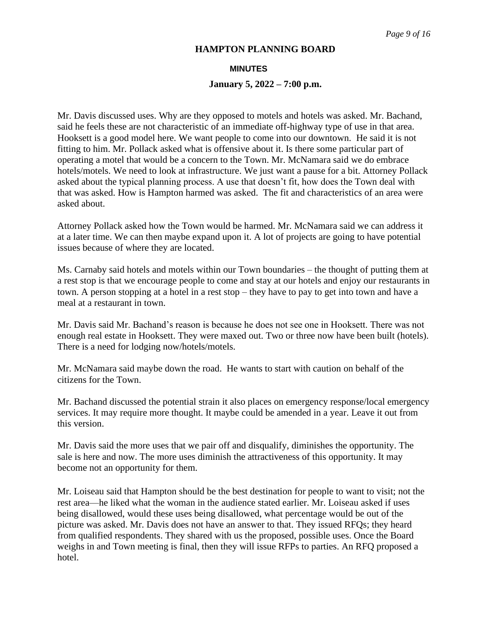#### **MINUTES**

## **January 5, 2022 – 7:00 p.m.**

Mr. Davis discussed uses. Why are they opposed to motels and hotels was asked. Mr. Bachand, said he feels these are not characteristic of an immediate off-highway type of use in that area. Hooksett is a good model here. We want people to come into our downtown. He said it is not fitting to him. Mr. Pollack asked what is offensive about it. Is there some particular part of operating a motel that would be a concern to the Town. Mr. McNamara said we do embrace hotels/motels. We need to look at infrastructure. We just want a pause for a bit. Attorney Pollack asked about the typical planning process. A use that doesn't fit, how does the Town deal with that was asked. How is Hampton harmed was asked. The fit and characteristics of an area were asked about.

Attorney Pollack asked how the Town would be harmed. Mr. McNamara said we can address it at a later time. We can then maybe expand upon it. A lot of projects are going to have potential issues because of where they are located.

Ms. Carnaby said hotels and motels within our Town boundaries – the thought of putting them at a rest stop is that we encourage people to come and stay at our hotels and enjoy our restaurants in town. A person stopping at a hotel in a rest stop – they have to pay to get into town and have a meal at a restaurant in town.

Mr. Davis said Mr. Bachand's reason is because he does not see one in Hooksett. There was not enough real estate in Hooksett. They were maxed out. Two or three now have been built (hotels). There is a need for lodging now/hotels/motels.

Mr. McNamara said maybe down the road. He wants to start with caution on behalf of the citizens for the Town.

Mr. Bachand discussed the potential strain it also places on emergency response/local emergency services. It may require more thought. It maybe could be amended in a year. Leave it out from this version.

Mr. Davis said the more uses that we pair off and disqualify, diminishes the opportunity. The sale is here and now. The more uses diminish the attractiveness of this opportunity. It may become not an opportunity for them.

Mr. Loiseau said that Hampton should be the best destination for people to want to visit; not the rest area—he liked what the woman in the audience stated earlier. Mr. Loiseau asked if uses being disallowed, would these uses being disallowed, what percentage would be out of the picture was asked. Mr. Davis does not have an answer to that. They issued RFQs; they heard from qualified respondents. They shared with us the proposed, possible uses. Once the Board weighs in and Town meeting is final, then they will issue RFPs to parties. An RFQ proposed a hotel.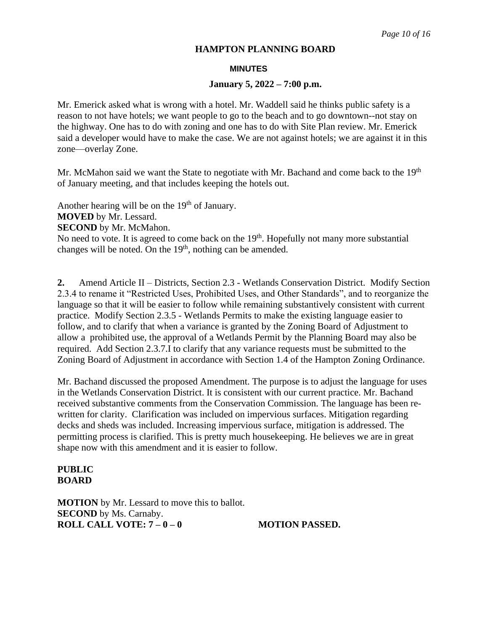#### **MINUTES**

## **January 5, 2022 – 7:00 p.m.**

Mr. Emerick asked what is wrong with a hotel. Mr. Waddell said he thinks public safety is a reason to not have hotels; we want people to go to the beach and to go downtown--not stay on the highway. One has to do with zoning and one has to do with Site Plan review. Mr. Emerick said a developer would have to make the case. We are not against hotels; we are against it in this zone—overlay Zone.

Mr. McMahon said we want the State to negotiate with Mr. Bachand and come back to the 19<sup>th</sup> of January meeting, and that includes keeping the hotels out.

Another hearing will be on the  $19<sup>th</sup>$  of January.

**MOVED** by Mr. Lessard.

**SECOND** by Mr. McMahon.

No need to vote. It is agreed to come back on the 19<sup>th</sup>. Hopefully not many more substantial changes will be noted. On the 19<sup>th</sup>, nothing can be amended.

**2.** Amend Article II – Districts, Section 2.3 - Wetlands Conservation District. Modify Section 2.3.4 to rename it "Restricted Uses, Prohibited Uses, and Other Standards", and to reorganize the language so that it will be easier to follow while remaining substantively consistent with current practice. Modify Section 2.3.5 - Wetlands Permits to make the existing language easier to follow, and to clarify that when a variance is granted by the Zoning Board of Adjustment to allow a prohibited use, the approval of a Wetlands Permit by the Planning Board may also be required. Add Section 2.3.7.I to clarify that any variance requests must be submitted to the Zoning Board of Adjustment in accordance with Section 1.4 of the Hampton Zoning Ordinance.

Mr. Bachand discussed the proposed Amendment. The purpose is to adjust the language for uses in the Wetlands Conservation District. It is consistent with our current practice. Mr. Bachand received substantive comments from the Conservation Commission. The language has been rewritten for clarity. Clarification was included on impervious surfaces. Mitigation regarding decks and sheds was included. Increasing impervious surface, mitigation is addressed. The permitting process is clarified. This is pretty much housekeeping. He believes we are in great shape now with this amendment and it is easier to follow.

# **PUBLIC BOARD**

**MOTION** by Mr. Lessard to move this to ballot. **SECOND** by Ms. Carnaby. **ROLL CALL VOTE: 7 – 0 – 0 MOTION PASSED.**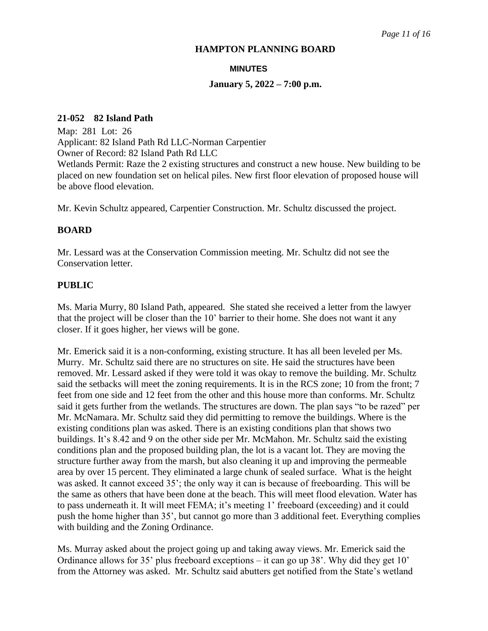#### **MINUTES**

## **January 5, 2022 – 7:00 p.m.**

## **21-052 82 Island Path**

Map: 281 Lot: 26 Applicant: 82 Island Path Rd LLC-Norman Carpentier Owner of Record: 82 Island Path Rd LLC Wetlands Permit: Raze the 2 existing structures and construct a new house. New building to be placed on new foundation set on helical piles. New first floor elevation of proposed house will be above flood elevation.

Mr. Kevin Schultz appeared, Carpentier Construction. Mr. Schultz discussed the project.

# **BOARD**

Mr. Lessard was at the Conservation Commission meeting. Mr. Schultz did not see the Conservation letter.

# **PUBLIC**

Ms. Maria Murry, 80 Island Path, appeared. She stated she received a letter from the lawyer that the project will be closer than the 10' barrier to their home. She does not want it any closer. If it goes higher, her views will be gone.

Mr. Emerick said it is a non-conforming, existing structure. It has all been leveled per Ms. Murry. Mr. Schultz said there are no structures on site. He said the structures have been removed. Mr. Lessard asked if they were told it was okay to remove the building. Mr. Schultz said the setbacks will meet the zoning requirements. It is in the RCS zone; 10 from the front; 7 feet from one side and 12 feet from the other and this house more than conforms. Mr. Schultz said it gets further from the wetlands. The structures are down. The plan says "to be razed" per Mr. McNamara. Mr. Schultz said they did permitting to remove the buildings. Where is the existing conditions plan was asked. There is an existing conditions plan that shows two buildings. It's 8.42 and 9 on the other side per Mr. McMahon. Mr. Schultz said the existing conditions plan and the proposed building plan, the lot is a vacant lot. They are moving the structure further away from the marsh, but also cleaning it up and improving the permeable area by over 15 percent. They eliminated a large chunk of sealed surface. What is the height was asked. It cannot exceed 35'; the only way it can is because of freeboarding. This will be the same as others that have been done at the beach. This will meet flood elevation. Water has to pass underneath it. It will meet FEMA; it's meeting 1' freeboard (exceeding) and it could push the home higher than 35', but cannot go more than 3 additional feet. Everything complies with building and the Zoning Ordinance.

Ms. Murray asked about the project going up and taking away views. Mr. Emerick said the Ordinance allows for 35' plus freeboard exceptions – it can go up 38'. Why did they get 10' from the Attorney was asked. Mr. Schultz said abutters get notified from the State's wetland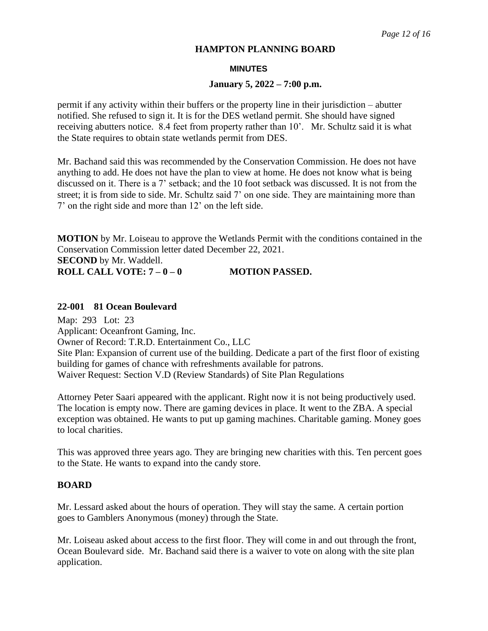#### **MINUTES**

#### **January 5, 2022 – 7:00 p.m.**

permit if any activity within their buffers or the property line in their jurisdiction – abutter notified. She refused to sign it. It is for the DES wetland permit. She should have signed receiving abutters notice. 8.4 feet from property rather than 10'. Mr. Schultz said it is what the State requires to obtain state wetlands permit from DES.

Mr. Bachand said this was recommended by the Conservation Commission. He does not have anything to add. He does not have the plan to view at home. He does not know what is being discussed on it. There is a 7' setback; and the 10 foot setback was discussed. It is not from the street; it is from side to side. Mr. Schultz said 7' on one side. They are maintaining more than 7' on the right side and more than 12' on the left side.

**MOTION** by Mr. Loiseau to approve the Wetlands Permit with the conditions contained in the Conservation Commission letter dated December 22, 2021. **SECOND** by Mr. Waddell.

**ROLL CALL VOTE:**  $7-0-0$  **MOTION PASSED.** 

## **22-001 81 Ocean Boulevard**

Map: 293 Lot: 23 Applicant: Oceanfront Gaming, Inc. Owner of Record: T.R.D. Entertainment Co., LLC Site Plan: Expansion of current use of the building. Dedicate a part of the first floor of existing building for games of chance with refreshments available for patrons. Waiver Request: Section V.D (Review Standards) of Site Plan Regulations

Attorney Peter Saari appeared with the applicant. Right now it is not being productively used. The location is empty now. There are gaming devices in place. It went to the ZBA. A special exception was obtained. He wants to put up gaming machines. Charitable gaming. Money goes to local charities.

This was approved three years ago. They are bringing new charities with this. Ten percent goes to the State. He wants to expand into the candy store.

## **BOARD**

Mr. Lessard asked about the hours of operation. They will stay the same. A certain portion goes to Gamblers Anonymous (money) through the State.

Mr. Loiseau asked about access to the first floor. They will come in and out through the front, Ocean Boulevard side. Mr. Bachand said there is a waiver to vote on along with the site plan application.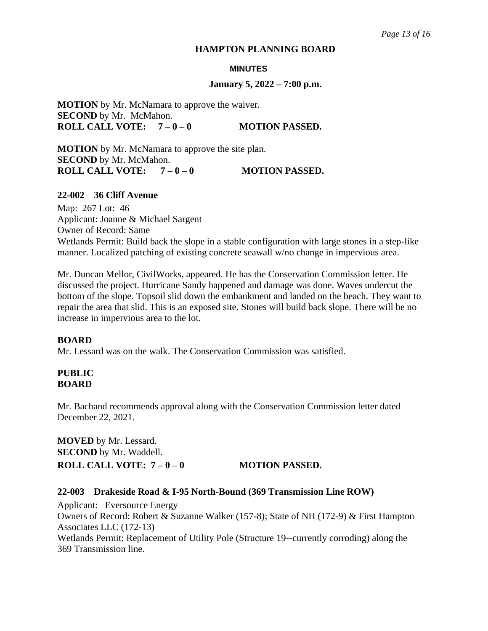#### **MINUTES**

#### **January 5, 2022 – 7:00 p.m.**

**MOTION** by Mr. McNamara to approve the waiver. **SECOND** by Mr. McMahon. **ROLL CALL VOTE:**  $7-0-0$  **MOTION PASSED.** 

**MOTION** by Mr. McNamara to approve the site plan. **SECOND** by Mr. McMahon.

**ROLL CALL VOTE:**  $7-0-0$  **MOTION PASSED.** 

# **22-002 36 Cliff Avenue**

Map: 267 Lot: 46 Applicant: Joanne & Michael Sargent Owner of Record: Same Wetlands Permit: Build back the slope in a stable configuration with large stones in a step-like manner. Localized patching of existing concrete seawall w/no change in impervious area.

Mr. Duncan Mellor, CivilWorks, appeared. He has the Conservation Commission letter. He discussed the project. Hurricane Sandy happened and damage was done. Waves undercut the bottom of the slope. Topsoil slid down the embankment and landed on the beach. They want to repair the area that slid. This is an exposed site. Stones will build back slope. There will be no increase in impervious area to the lot.

## **BOARD**

Mr. Lessard was on the walk. The Conservation Commission was satisfied.

# **PUBLIC BOARD**

Mr. Bachand recommends approval along with the Conservation Commission letter dated December 22, 2021.

**MOVED** by Mr. Lessard. **SECOND** by Mr. Waddell. **ROLL CALL VOTE:**  $7-0-0$  **MOTION PASSED.** 

## **22-003 Drakeside Road & I-95 North-Bound (369 Transmission Line ROW)**

Applicant: Eversource Energy Owners of Record: Robert & Suzanne Walker (157-8); State of NH (172-9) & First Hampton Associates LLC (172-13) Wetlands Permit: Replacement of Utility Pole (Structure 19--currently corroding) along the 369 Transmission line.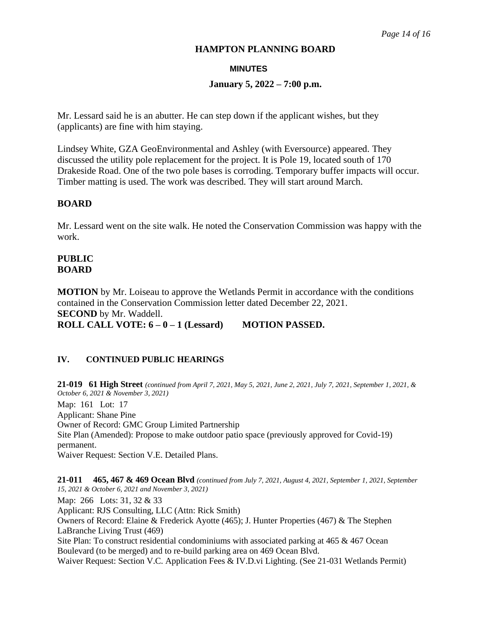## **MINUTES**

# **January 5, 2022 – 7:00 p.m.**

Mr. Lessard said he is an abutter. He can step down if the applicant wishes, but they (applicants) are fine with him staying.

Lindsey White, GZA GeoEnvironmental and Ashley (with Eversource) appeared. They discussed the utility pole replacement for the project. It is Pole 19, located south of 170 Drakeside Road. One of the two pole bases is corroding. Temporary buffer impacts will occur. Timber matting is used. The work was described. They will start around March.

# **BOARD**

Mr. Lessard went on the site walk. He noted the Conservation Commission was happy with the work.

# **PUBLIC BOARD**

**MOTION** by Mr. Loiseau to approve the Wetlands Permit in accordance with the conditions contained in the Conservation Commission letter dated December 22, 2021. **SECOND** by Mr. Waddell. **ROLL CALL VOTE: 6 – 0 – 1 (Lessard) MOTION PASSED.** 

# **IV. CONTINUED PUBLIC HEARINGS**

**21-019 61 High Street** *(continued from April 7, 2021, May 5, 2021, June 2, 2021, July 7, 2021, September 1, 2021, & October 6, 2021 & November 3, 2021)* 

Map: 161 Lot: 17 Applicant: Shane Pine Owner of Record: GMC Group Limited Partnership Site Plan (Amended): Propose to make outdoor patio space (previously approved for Covid-19) permanent. Waiver Request: Section V.E. Detailed Plans.

**21-011 465, 467 & 469 Ocean Blvd** *(continued from July 7, 2021, August 4, 2021, September 1, 2021, September 15, 2021 & October 6, 2021 and November 3, 2021)*  Map: 266 Lots: 31, 32 & 33 Applicant: RJS Consulting, LLC (Attn: Rick Smith) Owners of Record: Elaine & Frederick Ayotte (465); J. Hunter Properties (467) & The Stephen LaBranche Living Trust (469) Site Plan: To construct residential condominiums with associated parking at 465 & 467 Ocean Boulevard (to be merged) and to re-build parking area on 469 Ocean Blvd. Waiver Request: Section V.C. Application Fees & IV.D.vi Lighting. (See 21-031 Wetlands Permit)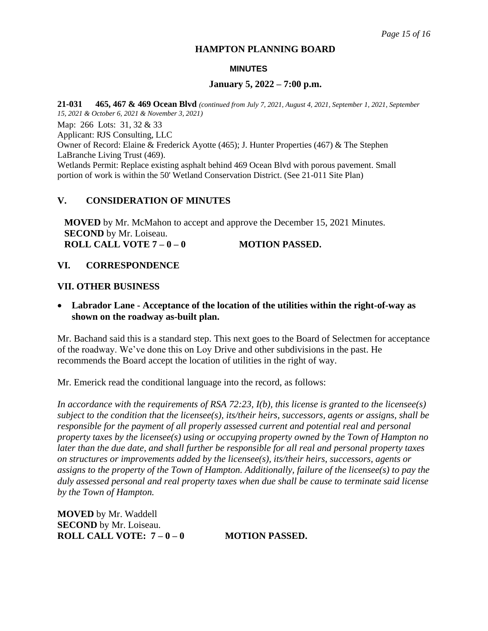## **MINUTES**

## **January 5, 2022 – 7:00 p.m.**

**21-031 465, 467 & 469 Ocean Blvd** *(continued from July 7, 2021, August 4, 2021, September 1, 2021, September 15, 2021 & October 6, 2021 & November 3, 2021)*

Map: 266 Lots: 31, 32 & 33

Applicant: RJS Consulting, LLC

Owner of Record: Elaine & Frederick Ayotte (465); J. Hunter Properties (467) & The Stephen LaBranche Living Trust (469).

Wetlands Permit: Replace existing asphalt behind 469 Ocean Blvd with porous pavement. Small portion of work is within the 50' Wetland Conservation District. (See 21-011 Site Plan)

# **V. CONSIDERATION OF MINUTES**

**MOVED** by Mr. McMahon to accept and approve the December 15, 2021 Minutes. **SECOND** by Mr. Loiseau. **ROLL CALL VOTE 7 – 0 – 0 MOTION PASSED.** 

# **VI. CORRESPONDENCE**

# **VII. OTHER BUSINESS**

• **Labrador Lane - Acceptance of the location of the utilities within the right-of-way as shown on the roadway as-built plan.** 

Mr. Bachand said this is a standard step. This next goes to the Board of Selectmen for acceptance of the roadway. We've done this on Loy Drive and other subdivisions in the past. He recommends the Board accept the location of utilities in the right of way.

Mr. Emerick read the conditional language into the record, as follows:

*In accordance with the requirements of RSA 72:23, I(b), this license is granted to the licensee(s) subject to the condition that the licensee(s), its/their heirs, successors, agents or assigns, shall be responsible for the payment of all properly assessed current and potential real and personal property taxes by the licensee(s) using or occupying property owned by the Town of Hampton no later than the due date, and shall further be responsible for all real and personal property taxes on structures or improvements added by the licensee(s), its/their heirs, successors, agents or assigns to the property of the Town of Hampton. Additionally, failure of the licensee(s) to pay the duly assessed personal and real property taxes when due shall be cause to terminate said license by the Town of Hampton.*

**MOVED** by Mr. Waddell **SECOND** by Mr. Loiseau. **ROLL CALL VOTE: 7-0-0 MOTION PASSED.**